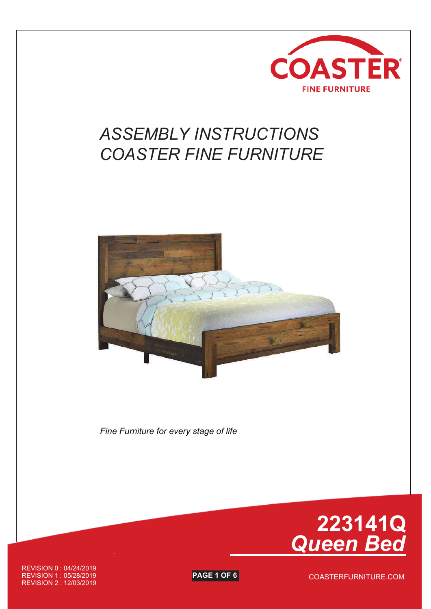

## *ASSEMBLY INSTRUCTIONS COASTER FINE FURNITURE*



*Fine Furniture for every stage of life*



COASTERFURNITURE.COM

REVISION 0 : 04/24/2019 REVISION 1 : 05/28/2019 **PAGE 1 OF 6** REVISION 2 : 12/03/2019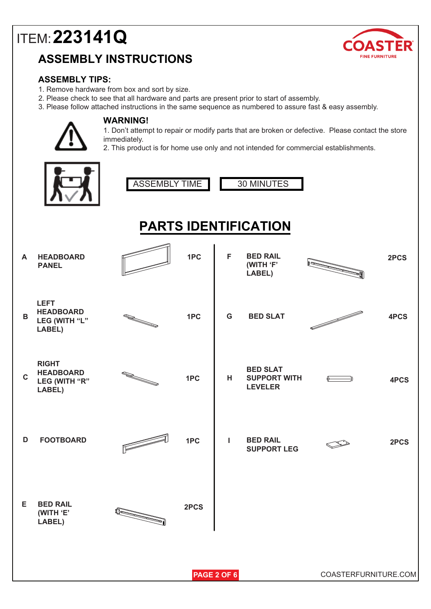### **ASSEMBLY INSTRUCTIONS**



#### **ASSEMBLY TIPS:**

- 1. Remove hardware from box and sort by size.
- 2. Please check to see that all hardware and parts are present prior to start of assembly.
- 3. Please follow attached instructions in the same sequence as numbered to assure fast & easy assembly.



#### **WARNING!**

1. Don't attempt to repair or modify parts that are broken or defective. Please contact the store immediately.

2. This product is for home use only and not intended for commercial establishments.

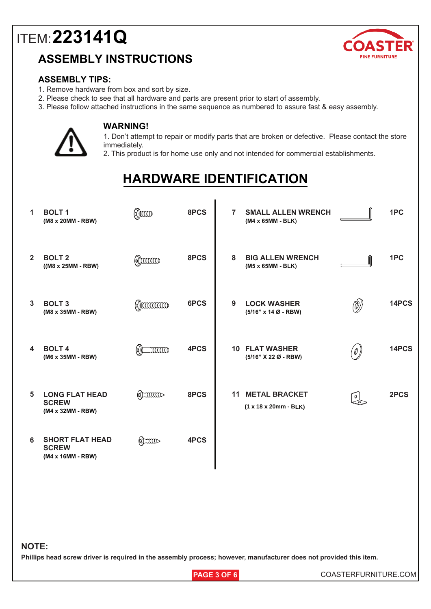### **ASSEMBLY INSTRUCTIONS**



#### **ASSEMBLY TIPS:**

- 1. Remove hardware from box and sort by size.
- 2. Please check to see that all hardware and parts are present prior to start of assembly.
- 3. Please follow attached instructions in the same sequence as numbered to assure fast & easy assembly.



#### **WARNING!**

1. Don't attempt to repair or modify parts that are broken or defective. Please contact the store immediately.

2. This product is for home use only and not intended for commercial establishments.

## **HARDWARE IDENTIFICATION**

| 1                       | <b>BOLT1</b><br>(M8 x 20MM - RBW)                           | $\binom{6}{2}$       | 8PCS | $\overline{7}$        | <b>SMALL ALLEN WRENCH</b><br>(M4 x 65MM - BLK)  |                  | 1PC   |
|-------------------------|-------------------------------------------------------------|----------------------|------|-----------------------|-------------------------------------------------|------------------|-------|
| $\overline{2}$          | <b>BOLT 2</b><br>$((M8 x 25MM - RBW)$                       | $\omega$ ) $\omega$  | 8PCS | 8                     | <b>BIG ALLEN WRENCH</b><br>(M5 x 65MM - BLK)    |                  | 1PC   |
| $\mathbf{3}$            | <b>BOLT3</b><br>(M8 x 35MM - RBW)                           | $\omega$ )) $\omega$ | 6PCS | 9                     | <b>LOCK WASHER</b><br>$(5/16"$ x 14 Ø - RBW)    | $\binom{r}{r}$   | 14PCS |
| $\overline{\mathbf{4}}$ | <b>BOLT4</b><br>(M6 x 35MM - RBW)                           | INNINO               | 4PCS | <b>10 FLAT WASHER</b> | (5/16" X 22 Ø - RBW)                            | '0               | 14PCS |
| 5                       | <b>LONG FLAT HEAD</b><br><b>SCREW</b><br>(M4 x 32MM - RBW)  | $\sum_{i=1}^{n}$     | 8PCS | 11                    | <b>METAL BRACKET</b><br>$(1 x 18 x 20mm - BLK)$ | $rac{1}{\leq 2}$ | 2PCS  |
| 6                       | <b>SHORT FLAT HEAD</b><br><b>SCREW</b><br>(M4 x 16MM - RBW) | $\sum_{i=1}^{n}$     | 4PCS |                       |                                                 |                  |       |

#### **NOTE:**

**Phillips head screw driver is required in the assembly process; however, manufacturer does not provided this item.**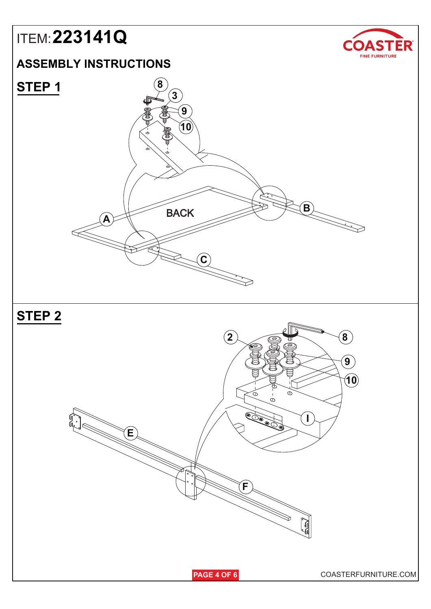### **ASSEMBLY INSTRUCTIONS**









**PAGE 4 OF 6** COASTERFURNITURE.COM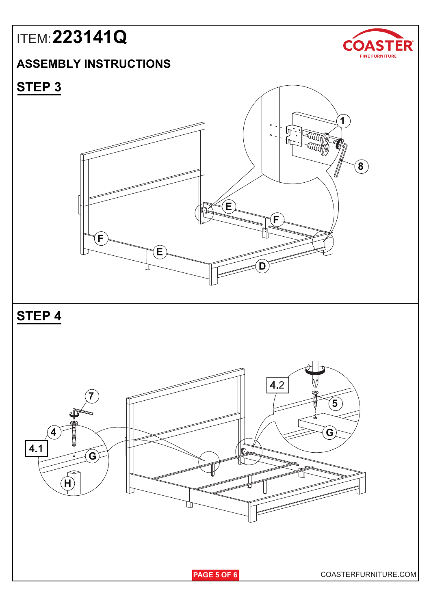### **ASSEMBLY INSTRUCTIONS**



## **STEP 3**

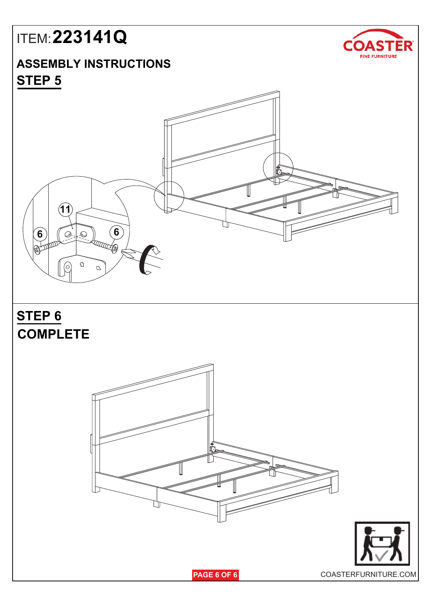